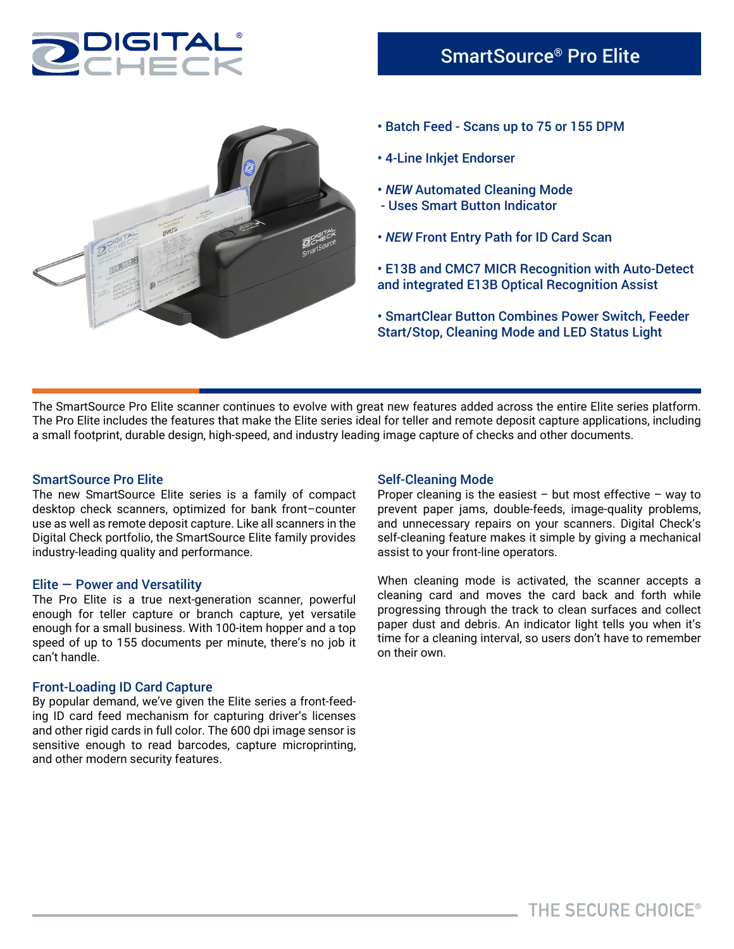



- Batch Feed Scans up to 75 or 155 DPM
- 4-Line Inkjet Endorser
- *NEW* Automated Cleaning Mode
- Uses Smart Button Indicator
- *NEW* Front Entry Path for ID Card Scan
- E13B and CMC7 MICR Recognition with Auto-Detect and integrated E13B Optical Recognition Assist
- SmartClear Button Combines Power Switch, Feeder Start/Stop, Cleaning Mode and LED Status Light

The SmartSource Pro Elite scanner continues to evolve with great new features added across the entire Elite series platform. The Pro Elite includes the features that make the Elite series ideal for teller and remote deposit capture applications, including a small footprint, durable design, high-speed, and industry leading image capture of checks and other documents.

### SmartSource Pro Elite

The new SmartSource Elite series is a family of compact desktop check scanners, optimized for bank front–counter use as well as remote deposit capture. Like all scanners in the Digital Check portfolio, the SmartSource Elite family provides industry-leading quality and performance.

#### Elite — Power and Versatility

The Pro Elite is a true next-generation scanner, powerful enough for teller capture or branch capture, yet versatile enough for a small business. With 100-item hopper and a top speed of up to 155 documents per minute, there's no job it can't handle.

#### Front-Loading ID Card Capture

By popular demand, we've given the Elite series a front-feeding ID card feed mechanism for capturing driver's licenses and other rigid cards in full color. The 600 dpi image sensor is sensitive enough to read barcodes, capture microprinting, and other modern security features.

### Self-Cleaning Mode

Proper cleaning is the easiest – but most effective – way to prevent paper jams, double-feeds, image-quality problems, and unnecessary repairs on your scanners. Digital Check's self-cleaning feature makes it simple by giving a mechanical assist to your front-line operators.

When cleaning mode is activated, the scanner accepts a cleaning card and moves the card back and forth while progressing through the track to clean surfaces and collect paper dust and debris. An indicator light tells you when it's time for a cleaning interval, so users don't have to remember on their own.